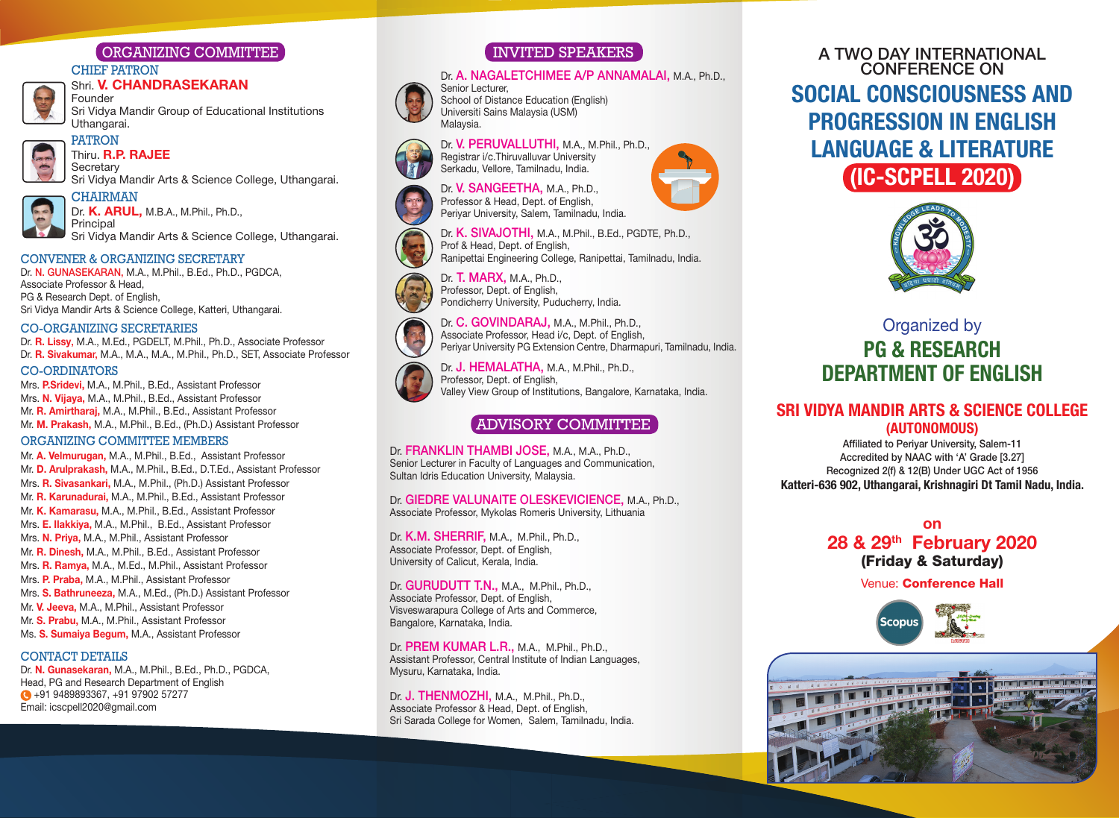## ORGANIZING COMMITTEE

#### CHIEF PATRON

#### Shri. **V. CHANDRASEKARAN** Founder

Sri Vidya Mandir Group of Educational Institutions Uthangarai.



## Thiru. R.P. RAJEE

Sri Vidya Mandir Arts & Science College, Uthangarai.



Dr. K. ARUL, M.B.A., M.Phil., Ph.D., Principal

Sri Vidya Mandir Arts & Science College, Uthangarai.

#### CONVENER & ORGANIZING sECRETARY

Dr. n. GUnASEKARAn, M.A., M.Phil., B.Ed., Ph.D., PGDCA, Associate Professor & Head, PG & Research Dept. of English. Sri Vidya Mandir Arts & Science College, Katteri, Uthangarai.

#### CO-ORGANIZING sECRETARIEs

Dr. R. Lissy, M.A., M.Ed., PGDELT, M.Phil., Ph.D., Associate Professor Dr. R. Sivakumar, M.A., M.A., M.A., M.Phil., Ph.D., SET, Associate Professor

#### CO-ORDINATORs

Mrs. P.Sridevi, M.A., M.Phil., B.Ed., Assistant Professor Mrs. N. Vijaya, M.A., M.Phil., B.Ed., Assistant Professor Mr. R. Amirtharai, M.A., M.Phil., B.Ed., Assistant Professor Mr. M. Prakash, M.A., M.Phil., B.Ed., (Ph.D.) Assistant Professor

#### ORGANIZING COMMITTEE MEMBERs

Mr. A. Velmurugan, M.A., M.Phil., B.Ed., Assistant Professor Mr. D. Arulprakash, M.A., M.Phil., B.Ed., D.T.Ed., Assistant Professor Mrs. R. Sivasankari, M.A., M.Phil., (Ph.D.) Assistant Professor Mr. R. Karunadurai, M.A., M.Phil., B.Ed., Assistant Professor Mr. K. Kamarasu, M.A., M.Phil., B.Ed., Assistant Professor Mrs. E. Ilakkiya, M.A., M.Phil., B.Ed., Assistant Professor Mrs. N. Priya, M.A., M.Phil., Assistant Professor Mr. R. Dinesh, M.A., M.Phil., B.Ed., Assistant Professor Mrs. R. Ramya, M.A., M.Ed., M.Phil., Assistant Professor Mrs. P. Praba, M.A., M.Phil., Assistant Professor Mrs. S. Bathruneeza, M.A., M.Ed., (Ph.D.) Assistant Professor Mr. V. Jeeva, M.A., M.Phil., Assistant Professor Mr. S. Prabu, M.A., M.Phil., Assistant Professor Ms. S. Sumaiva Begum. M.A., Assistant Professor

#### CONTACT DETAILs

Dr. N. Gunasekaran, M.A., M.Phil., B.Ed., Ph.D., PGDCA, Head, PG and Research Department of English  $+91$  9489893367, +91 97902 57277 Email: icscpell2020@gmail.com

### INVITED SPEAKERS

#### Dr. A. NAGALETCHIMEE A/P ANNAMALAI, M.A., Ph.D.,



Senior Lecturer, School of Distance Education (English) Universiti Sains Malaysia (USM) Malaysia.

Registrar i/c.Thiruvalluvar University

Dr. V. PERUVALLUTHI, M.A., M.Phil., Ph.D.,







Dr. K. SIVAJOTHI, M.A., M.Phil., B.Ed., PGDTE, Ph.D., Prof & Head, Dept. of English, Ranipettai Engineering College, Ranipettai, Tamilnadu, India.





Dr. J. HEMALATHA, M.A., M.Phil., Ph.D., Professor, Dept. of English, Valley View Group of Institutions, Bangalore, Karnataka, India.

Sultan Idris Education University, Malaysia.

#### Dr. GIEDRE VALUNAITE OLESKEVICIENCE, M.A., Ph.D., Associate Professor, Mykolas Romeris University, Lithuania

Dr. K.M. SHERRIF, M.A., M.Phil., Ph.D., Associate Professor, Dept. of English, University of Calicut, Kerala, India.

Dr. **GURUDUTT T.N., M.A., M.Phil., Ph.D.,** Associate Professor, Dept. of English, Visveswarapura College of Arts and Commerce, Bangalore, Karnataka, India.

Dr. PREM KUMAR L.R., M.A., M.Phil., Ph.D., Assistant Professor, Central Institute of Indian Languages, Mysuru, Karnataka, India.

Dr. J. THENMOZHI, M.A., M.Phil., Ph.D., Associate Professor & Head, Dept. of English, Sri Sarada College for Women, Salem, Tamilnadu, India.

# A tWo dAy IntERnAtIonAL ConFEREnCE on SOCIAL CONSCIOUSNESS AND PROGRESSION IN ENGLISH LANGUAGE & LITERATURE (IC-SCPELL 2020)



# Organized by PG & RESEARCH

#### SRI VIDYA MANDIR ARTS & SCIENCE COLLEGE (AUTONOMOUS)

Affiliated to Periyar University, Salem-11 Accredited by nAAC with 'A' Grade [3.27] Recognized 2(f) & 12(B) Under UGC Act of 1956 Katteri-636 902, Uthangarai, Krishnagiri Dt Tamil Nadu, India.

#### on 28 & 29th February 2020 (Friday & Saturday)

Venue: Conference Hall





ADVIsORY COMMITTEE

Dr. FRANKLIN THAMBI JOSE, M.A., M.A., Ph.D., Senior Lecturer in Faculty of Languages and Communication,

#### Dr. **T. MARX, M.A., Ph.D.,** Professor, Dept. of English, Pondicherry University, Puducherry, India.

# DEPARTMENT OF ENGLISH